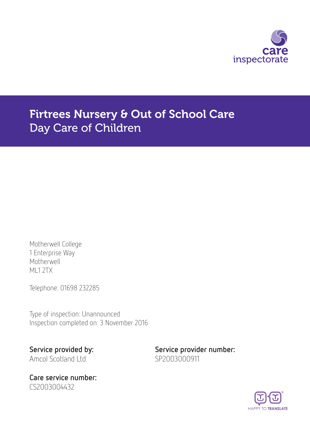

# Firtrees Nursery & Out of School Care Day Care of Children

Motherwell College 1 Enterprise Way Motherwell ML1 2TX

Telephone: 01698 232285

Type of inspection: Unannounced Inspection completed on: 3 November 2016

Amcol Scotland Ltd SP2003000911

Care service number: CS2003004432

Service provided by: Service provider number:

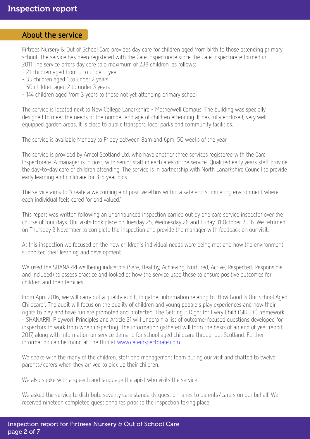#### About the service

Firtrees Nursery & Out of School Care provides day care for children aged from birth to those attending primary school. The service has been registered with the Care Inspectorate since the Care Inspectorate formed in 2011.The service offers day care to a maximum of 288 children, as follows:

- 21 children aged from 0 to under 1 year
- 33 children aged 1 to under 2 years
- 50 children aged 2 to under 3 years
- 144 children aged from 3 years to those not yet attending primary school

The service is located next to New College Lanarkshire - Motherwell Campus. The building was specially designed to meet the needs of the number and age of children attending. It has fully enclosed, very well equipped garden areas. It is close to public transport, local parks and community facilities.

The service is available Monday to Friday between 8am and 6pm, 50 weeks of the year.

The service is provided by Amcol Scotland Ltd, who have another three services registered with the Care Inspectorate. A manager is in post, with senior staff in each area of the service. Qualified early years staff provide the day-to-day care of children attending. The service is in partnership with North Lanarkshire Council to provide early learning and childcare for 3-5 year olds.

The service aims to "create a welcoming and positive ethos within a safe and stimulating environment where each individual feels cared for and valued."

This report was written following an unannounced inspection carried out by one care service inspector over the course of four days. Our visits took place on Tuesday 25, Wednesday 26 and Friday 31 October 2016. We returned on Thursday 3 November to complete the inspection and provide the manager with feedback on our visit.

At this inspection we focused on the how children's individual needs were being met and how the environment supported their learning and development.

We used the SHANARRI wellbeing indicators (Safe, Healthy, Achieving, Nurtured, Active, Respected, Responsible and Included) to assess practice and looked at how the service used these to ensure positive outcomes for children and their families.

From April 2016, we will carry out a quality audit, to gather information relating to 'How Good Is Our School Aged Childcare'. The audit will focus on the quality of children and young people's play experiences and how their rights to play and have fun are promoted and protected. The Getting it Right for Every Child (GIRFEC) framework - SHANARRI, Playwork Principles and Article 31 will underpin a list of outcome-focused questions developed for inspectors to work from when inspecting. The information gathered will form the basis of an end of year report 2017, along with information on service demand for school aged childcare throughout Scotland. Further information can be found at The Hub at [www.careinspectorate.com](http://www.careinspectorate.com)

We spoke with the many of the children, staff and management team during our visit and chatted to twelve parents/carers when they arrived to pick up their children.

We also spoke with a speech and language therapist who visits the service.

We asked the service to distribute seventy care standards questionnaires to parents/carers on our behalf. We received nineteen completed questionnaires prior to the inspection taking place.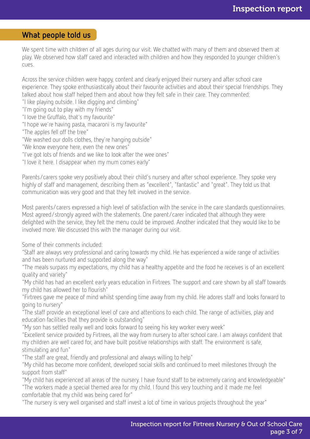### What people told us

We spent time with children of all ages during our visit. We chatted with many of them and observed them at play. We observed how staff cared and interacted with children and how they responded to younger children's cues.

Across the service children were happy, content and clearly enjoyed their nursery and after school care experience. They spoke enthusiastically about their favourite activities and about their special friendships. They talked about how staff helped them and about how they felt safe in their care. They commented:

"I like playing outside. I like digging and climbing"

"I'm going out to play with my friends"

"I love the Gruffalo, that's my favourite"

"I hope we're having pasta, macaroni is my favourite"

"The apples fell off the tree"

"We washed our dolls clothes, they're hanging outside"

"We know everyone here, even the new ones"

"I've got lots of friends and we like to look after the wee ones"

"I love it here. I disappear when my mum comes early"

Parents/carers spoke very positively about their child's nursery and after school experience. They spoke very highly of staff and management, describing them as "excellent", "fantastic" and "great". They told us that communication was very good and that they felt involved in the service.

Most parents/carers expressed a high level of satisfaction with the service in the care standards questionnaires. Most agreed/strongly agreed with the statements. One parent/carer indicated that although they were delighted with the service, they felt the menu could be improved. Another indicated that they would like to be involved more. We discussed this with the manager during our visit.

Some of their comments included:

"Staff are always very professional and caring towards my child. He has experienced a wide range of activities and has been nurtured and supported along the way"

"The meals surpass my expectations, my child has a healthy appetite and the food he receives is of an excellent quality and variety"

"My child has had an excellent early years education in Firtrees. The support and care shown by all staff towards my child has allowed her to flourish"

"Firtrees gave me peace of mind whilst spending time away from my child. He adores staff and looks forward to going to nursery"

"The staff provide an exceptional level of care and attentions to each child. The range of activities, play and education facilities that they provide is outstanding"

"My son has settled really well and looks forward to seeing his key worker every week"

"Excellent service provided by Firtrees, all the way from nursery to after school care. I am always confident that my children are well cared for, and have built positive relationships with staff. The environment is safe, stimulating and fun"

"The staff are great, friendly and professional and always willing to help"

"My child has become more confident, developed social skills and continued to meet milestones through the support from staff"

"My child has experienced all areas of the nursery. I have found staff to be extremely caring and knowledgeable" "The workers made a special themed area for my child. I found this very touching and it made me feel comfortable that my child was being cared for"

"The nursery is very well organised and staff invest a lot of time in various projects throughout the year"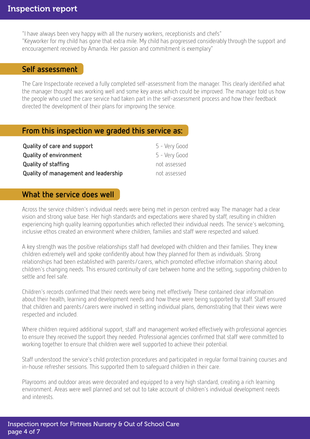"I have always been very happy with all the nursery workers, receptionists and chefs" "Keyworker for my child has gone that extra mile. My child has progressed considerably through the support and encouragement received by Amanda. Her passion and commitment is exemplary"

#### Self assessment

The Care Inspectorate received a fully completed self-assessment from the manager. This clearly identified what the manager thought was working well and some key areas which could be improved. The manager told us how the people who used the care service had taken part in the self-assessment process and how their feedback directed the development of their plans for improving the service.

#### From this inspection we graded this service as:

| Quality of care and support          | 5 - Very Good |
|--------------------------------------|---------------|
| <b>Quality of environment</b>        | 5 - Very Good |
| Quality of staffing                  | not assessed  |
| Quality of management and leadership | not assessed  |

### What the service does well

Across the service children's individual needs were being met in person centred way. The manager had a clear vision and strong value base. Her high standards and expectations were shared by staff, resulting in children experiencing high quality learning opportunities which reflected their individual needs. The service's welcoming, inclusive ethos created an environment where children, families and staff were respected and valued.

A key strength was the positive relationships staff had developed with children and their families. They knew children extremely well and spoke confidently about how they planned for them as individuals. Strong relationships had been established with parents/carers, which promoted effective information sharing about children's changing needs. This ensured continuity of care between home and the setting, supporting children to settle and feel safe.

Children's records confirmed that their needs were being met effectively. These contained clear information about their health, learning and development needs and how these were being supported by staff. Staff ensured that children and parents/carers were involved in setting individual plans, demonstrating that their views were respected and included.

Where children required additional support, staff and management worked effectively with professional agencies to ensure they received the support they needed. Professional agencies confirmed that staff were committed to working together to ensure that children were well supported to achieve their potential.

Staff understood the service's child protection procedures and participated in regular formal training courses and in-house refresher sessions. This supported them to safeguard children in their care.

Playrooms and outdoor areas were decorated and equipped to a very high standard, creating a rich learning environment. Areas were well planned and set out to take account of children's individual development needs and interests.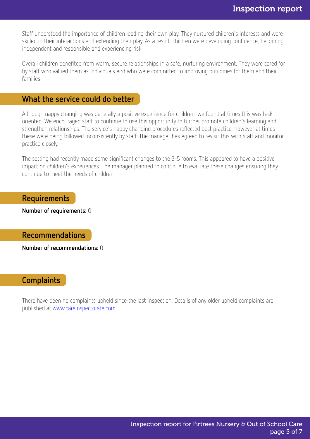Staff understood the importance of children leading their own play. They nurtured children's interests and were skilled in their interactions and extending their play. As a result, children were developing confidence, becoming independent and responsible and experiencing risk.

Overall children benefited from warm, secure relationships in a safe, nurturing environment. They were cared for by staff who valued them as individuals and who were committed to improving outcomes for them and their families.

#### What the service could do better

Although nappy changing was generally a positive experience for children, we found at times this was task oriented. We encouraged staff to continue to use this opportunity to further promote children's learning and strengthen relationships. The service's nappy changing procedures reflected best practice, however at times these were being followed inconsistently by staff. The manager has agreed to revisit this with staff and monitor practice closely.

The setting had recently made some significant changes to the 3-5 rooms. This appeared to have a positive impact on children's experiences. The manager planned to continue to evaluate these changes ensuring they continue to meet the needs of children.

Requirements

Number of requirements: 0

Recommendations

Number of recommendations: 0

#### **Complaints**

There have been no complaints upheld since the last inspection. Details of any older upheld complaints are published at [www.careinspectorate.com.](http://www.careinspectorate.com)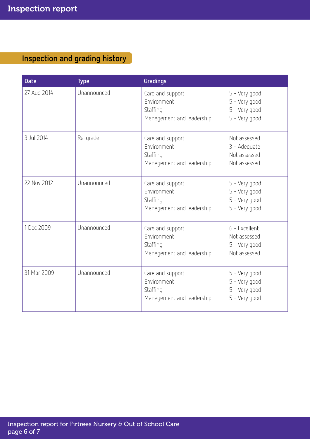## Inspection and grading history

| <b>Date</b> | <b>Type</b> | Gradings                                                                 |                                                                  |
|-------------|-------------|--------------------------------------------------------------------------|------------------------------------------------------------------|
| 27 Aug 2014 | Unannounced | Care and support<br>Fnvironment<br>Staffing<br>Management and leadership | 5 - Very good<br>5 - Very good<br>5 - Very good<br>5 - Very good |
| 3 Jul 2014  | Re-grade    | Care and support<br>Fnvironment<br>Staffing<br>Management and leadership | Not assessed<br>3 - Adequate<br>Not assessed<br>Not assessed     |
| 22 Nov 2012 | Unannounced | Care and support<br>Environment<br>Staffing<br>Management and leadership | 5 - Very good<br>5 - Very good<br>5 - Very good<br>5 - Very good |
| 1 Dec 2009  | Unannounced | Care and support<br>Environment<br>Staffing<br>Management and leadership | 6 - Excellent<br>Not assessed<br>5 - Very good<br>Not assessed   |
| 31 Mar 2009 | Unannounced | Care and support<br>Environment<br>Staffing<br>Management and leadership | 5 - Very good<br>5 - Very good<br>5 - Very good<br>5 - Very good |